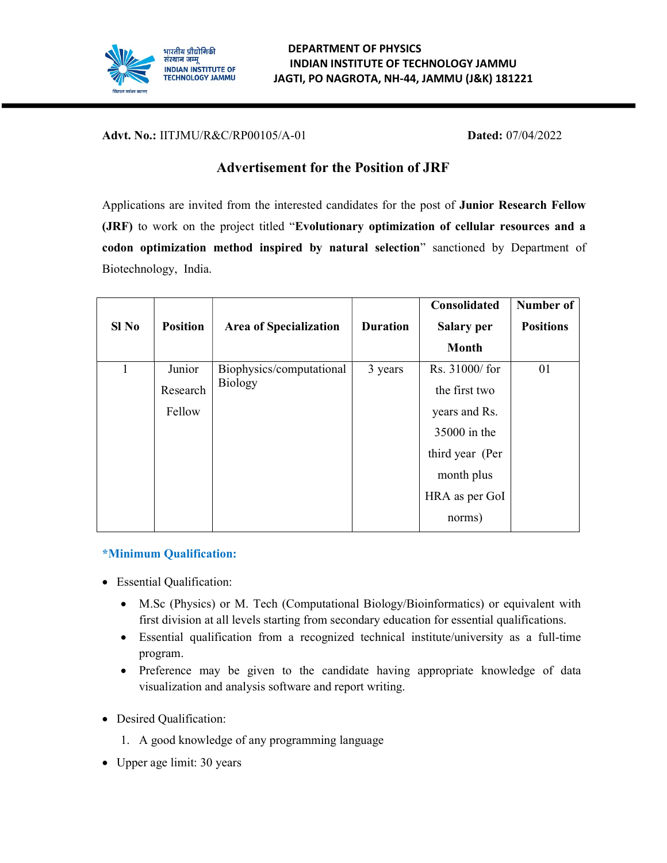

Advt. No.: IITJMU/R&C/RP00105/A-01 Dated: 07/04/2022

# Advertisement for the Position of JRF

Applications are invited from the interested candidates for the post of Junior Research Fellow (JRF) to work on the project titled "Evolutionary optimization of cellular resources and a codon optimization method inspired by natural selection" sanctioned by Department of Biotechnology, India.

|         |                 |                               |                 | Consolidated    | Number of        |
|---------|-----------------|-------------------------------|-----------------|-----------------|------------------|
| $SI$ No | <b>Position</b> | <b>Area of Specialization</b> | <b>Duration</b> | Salary per      | <b>Positions</b> |
|         |                 |                               |                 | <b>Month</b>    |                  |
| 1       | Junior          | Biophysics/computational      | 3 years         | Rs. 31000/ for  | 01               |
|         | Research        | <b>Biology</b>                |                 | the first two   |                  |
|         | Fellow          |                               |                 | years and Rs.   |                  |
|         |                 |                               |                 | 35000 in the    |                  |
|         |                 |                               |                 | third year (Per |                  |
|         |                 |                               |                 | month plus      |                  |
|         |                 |                               |                 | HRA as per GoI  |                  |
|         |                 |                               |                 | norms)          |                  |

## \*Minimum Qualification:

- Essential Qualification:
	- M.Sc (Physics) or M. Tech (Computational Biology/Bioinformatics) or equivalent with first division at all levels starting from secondary education for essential qualifications.
	- Essential qualification from a recognized technical institute/university as a full-time program.
	- Preference may be given to the candidate having appropriate knowledge of data visualization and analysis software and report writing.
- Desired Qualification:
	- 1. A good knowledge of any programming language
- Upper age limit: 30 years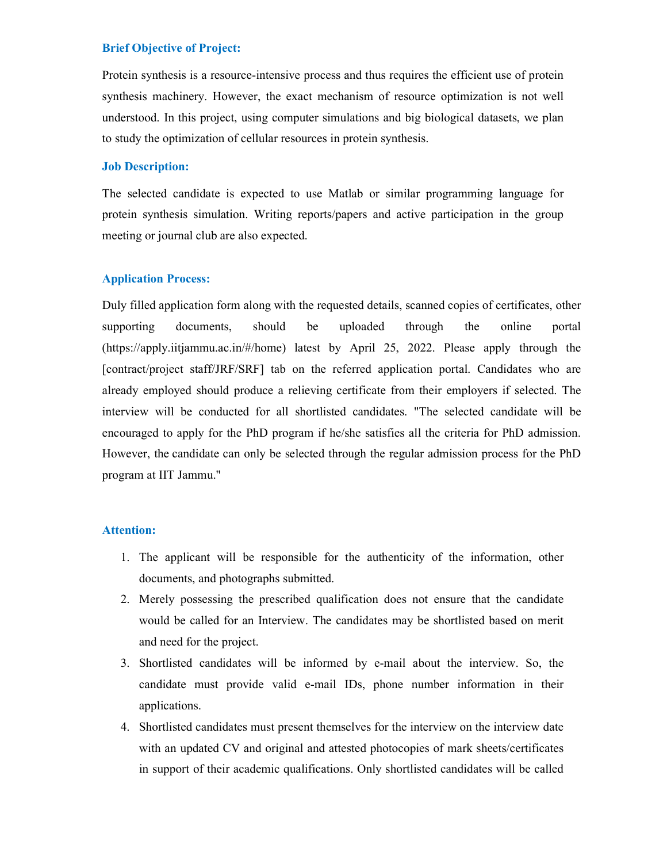## Brief Objective of Project:

Protein synthesis is a resource-intensive process and thus requires the efficient use of protein synthesis machinery. However, the exact mechanism of resource optimization is not well understood. In this project, using computer simulations and big biological datasets, we plan to study the optimization of cellular resources in protein synthesis.

#### Job Description:

The selected candidate is expected to use Matlab or similar programming language for protein synthesis simulation. Writing reports/papers and active participation in the group meeting or journal club are also expected.

#### Application Process:

Duly filled application form along with the requested details, scanned copies of certificates, other supporting documents, should be uploaded through the online portal (https://apply.iitjammu.ac.in/#/home) latest by April 25, 2022. Please apply through the [contract/project staff/JRF/SRF] tab on the referred application portal. Candidates who are already employed should produce a relieving certificate from their employers if selected. The interview will be conducted for all shortlisted candidates. "The selected candidate will be encouraged to apply for the PhD program if he/she satisfies all the criteria for PhD admission. However, the candidate can only be selected through the regular admission process for the PhD program at IIT Jammu."

### Attention:

- 1. The applicant will be responsible for the authenticity of the information, other documents, and photographs submitted.
- 2. Merely possessing the prescribed qualification does not ensure that the candidate would be called for an Interview. The candidates may be shortlisted based on merit and need for the project.
- 3. Shortlisted candidates will be informed by e-mail about the interview. So, the candidate must provide valid e-mail IDs, phone number information in their applications.
- 4. Shortlisted candidates must present themselves for the interview on the interview date with an updated CV and original and attested photocopies of mark sheets/certificates in support of their academic qualifications. Only shortlisted candidates will be called